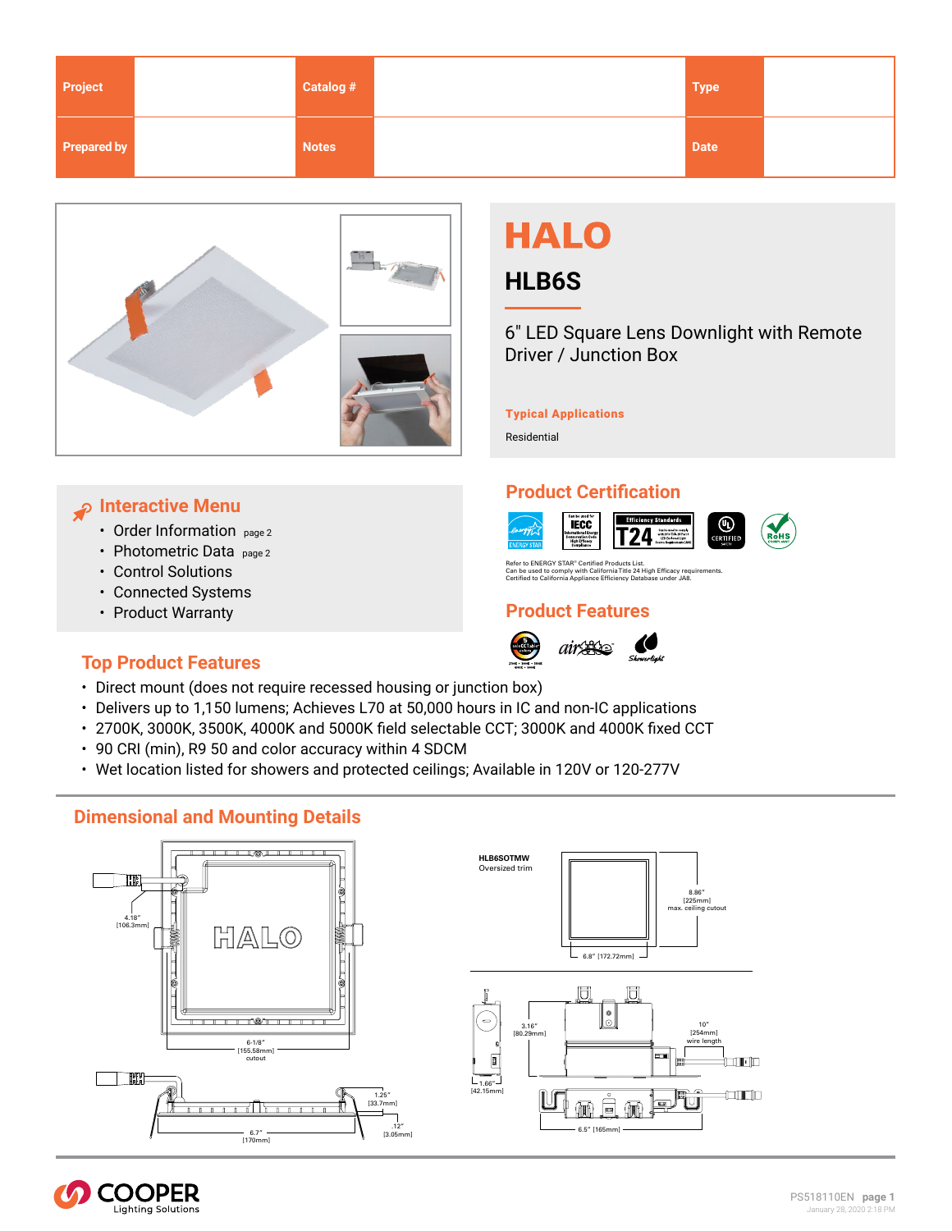<span id="page-0-0"></span>

| Project            | Catalog #    | <b>Type</b> |  |
|--------------------|--------------|-------------|--|
| <b>Prepared by</b> | <b>Notes</b> | <b>Date</b> |  |



# **HALO**

# **HLB6S**

6" LED Square Lens Downlight with Remote Driver / Junction Box

#### Typical Applications

Residential

# **Interactive Menu**

- [Order Information page 2](#page-1-0)
- Photometric Data <sub>page 2</sub>
- Control Solutions
- Connected Systems
- [Product Warranty](www.cooperlighting.com)

# **Top Product Features**

- Direct mount (does not require recessed housing or junction box)
- Delivers up to 1,150 lumens; Achieves L70 at 50,000 hours in IC and non-IC applications
- 2700K, 3000K, 3500K, 4000K and 5000K field selectable CCT; 3000K and 4000K fixed CCT
- 90 CRI (min), R9 50 and color accuracy within 4 SDCM
- Wet location listed for showers and protected ceilings; Available in 120V or 120-277V

# **Dimensional and Mounting Details**







### **Product Certification Efficiency Standards**





Refer to ENERGY STAR® Certified Products List.<br>Can be used to comply with California Title 24 High Efficacy requirements.<br>Certified to California Appliance Efficiency Database under JA8.

# **Product Features**





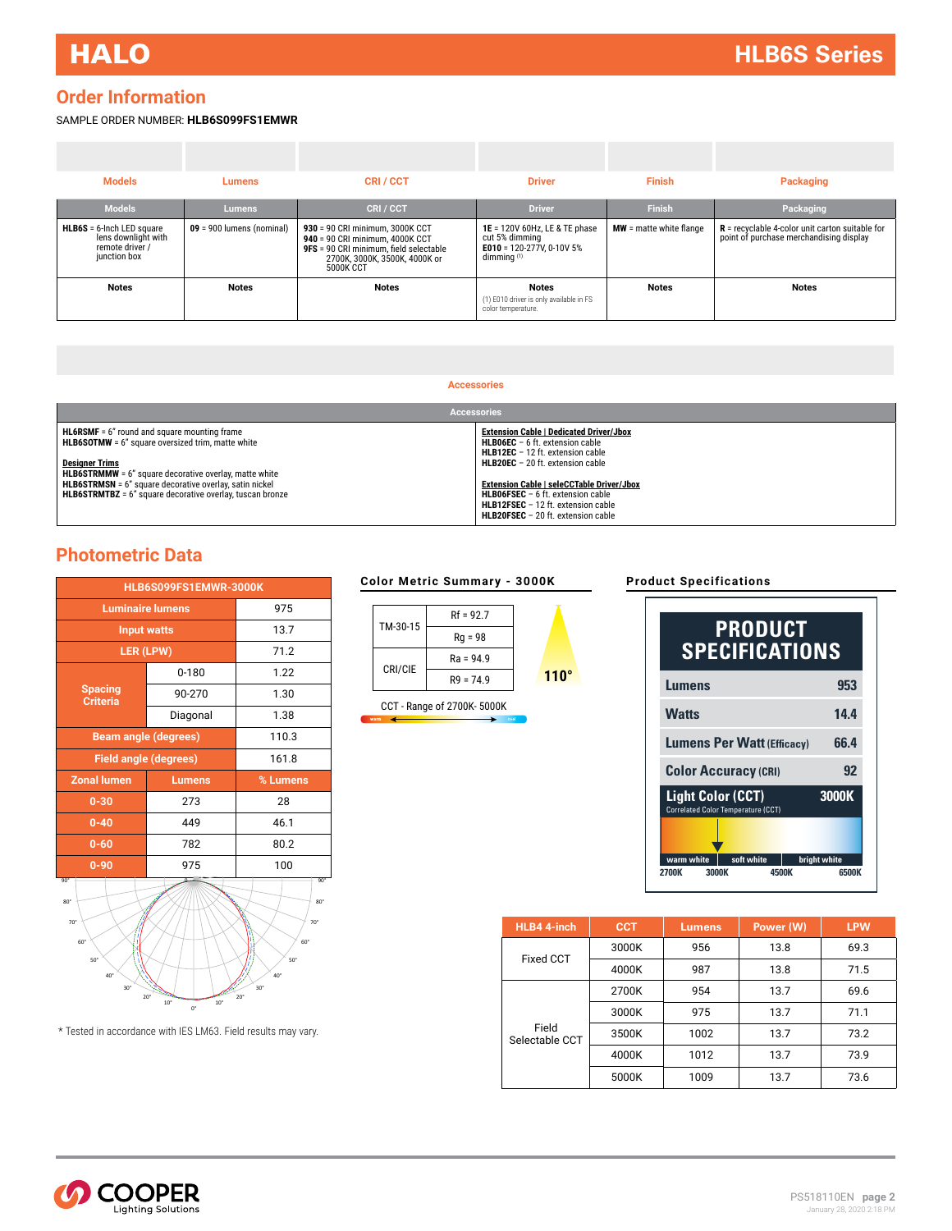## <span id="page-1-0"></span>**Order Information**

#### SAMPLE ORDER NUMBER: **HLB6S099FS1EMWR**

| <b>Models</b>                                                                          | Lumens                      | <b>CRI/CCT</b>                                                                                                                                             | <b>Driver</b>                                                                                 | <b>Finish</b>             | Packaging                                                                                    |
|----------------------------------------------------------------------------------------|-----------------------------|------------------------------------------------------------------------------------------------------------------------------------------------------------|-----------------------------------------------------------------------------------------------|---------------------------|----------------------------------------------------------------------------------------------|
| <b>Models</b>                                                                          | Lumens                      | <b>CRI/CCT</b>                                                                                                                                             | <b>Driver</b>                                                                                 | <b>Finish</b>             | Packaging                                                                                    |
| $HLB6S = 6$ -Inch LED square<br>lens downlight with<br>remote driver /<br>junction box | $09 = 900$ lumens (nominal) | 930 = 90 CRI minimum. 3000K CCT<br>940 = 90 CRI minimum, 4000K CCT<br>9FS = 90 CRI minimum, field selectable<br>2700K, 3000K, 3500K, 4000K or<br>5000K CCT | 1E = 120V 60Hz, LE & TE phase<br>cut 5% dimming<br>E010 = 120-277V, 0-10V 5%<br>dimmina $(1)$ | $MW =$ matte white flange | $R$ = recyclable 4-color unit carton suitable for<br>point of purchase merchandising display |
| <b>Notes</b>                                                                           | <b>Notes</b>                | <b>Notes</b>                                                                                                                                               | <b>Notes</b><br>(1) E010 driver is only available in FS<br>color temperature.                 | <b>Notes</b>              | <b>Notes</b>                                                                                 |

#### **Accessories**

| <b>Accessories</b>                                                                                                   |                                                                                                                                     |  |  |
|----------------------------------------------------------------------------------------------------------------------|-------------------------------------------------------------------------------------------------------------------------------------|--|--|
| $HL6RSMF = 6"$ round and square mounting frame<br><b>HLB6SOTMW</b> = 6" square oversized trim, matte white           | <b>Extension Cable   Dedicated Driver/Jbox</b><br><b>HLB06EC</b> $-$ 6 ft. extension cable<br>HLB12EC - 12 ft. extension cable      |  |  |
| <b>Designer Trims</b><br><b>HLB6STRMMW</b> = 6" square decorative overlay, matte white                               | HLB20EC - 20 ft. extension cable                                                                                                    |  |  |
| HLB6STRMSN = 6" square decorative overlay, satin nickel<br>HLB6STRMTBZ = 6" square decorative overlay, tuscan bronze | <b>Extension Cable   seleCCTable Driver/Jbox</b><br><b>HLB06FSEC</b> $-6$ ft. extension cable<br>HLB12FSEC - 12 ft. extension cable |  |  |
|                                                                                                                      | <b>HLB20FSEC</b> $-$ 20 ft. extension cable                                                                                         |  |  |

### **Photometric Data**

| HLB6S099FS1EMWR-3000K                                  |               |      |  |
|--------------------------------------------------------|---------------|------|--|
| <b>Luminaire lumens</b>                                | 975           |      |  |
| <b>Input watts</b>                                     | 13.7          |      |  |
| LER (LPW)                                              | 71.2          |      |  |
| <b>Spacing</b><br><b>Criteria</b>                      | $0 - 180$     | 1.22 |  |
|                                                        | 90-270        | 1.30 |  |
|                                                        | Diagonal      | 1.38 |  |
| <b>Beam angle (degrees)</b>                            | 110.3         |      |  |
| <b>Field angle (degrees)</b>                           | 161.8         |      |  |
| <b>Zonal lumen</b>                                     | <b>Lumens</b> |      |  |
| $0 - 30$                                               | 273           | 28   |  |
| $0 - 40$                                               | 449           | 46.1 |  |
| $0 - 60$                                               | 782           | 80.2 |  |
| $0 - 90$                                               | 975           | 100  |  |
| $90^\circ$<br>$90^{\circ}$<br>$80^\circ$<br>$80^\circ$ |               |      |  |



\* Tested in accordance with IES LM63. Field results may vary.

#### **Color Metric Summary - 3000K**



CCT - Range of 2700K- 5000K

#### **Product Specifications**

| <b>PRODUCT</b><br><b>SPECIFICATIONS</b>                        |              |  |
|----------------------------------------------------------------|--------------|--|
| Lumens                                                         | 953          |  |
| <b>Watts</b>                                                   | 14.4         |  |
| 66.4<br><b>Lumens Per Watt (Efficacy)</b>                      |              |  |
| <b>Color Accuracy (CRI)</b>                                    | 92           |  |
| <b>Light Color (CCT)</b><br>Correlated Color Temperature (CCT) | 3000K        |  |
| warm white<br>soft white                                       | bright white |  |
| 2700K<br>3000K<br>4500K                                        | 6500K        |  |

| HLB4 4-inch             | <b>CCT</b> | <b>Lumens</b> | Power (W) | <b>LPW</b> |
|-------------------------|------------|---------------|-----------|------------|
| Fixed CCT               | 3000K      | 956           | 13.8      | 69.3       |
|                         | 4000K      | 987           | 13.8      | 71.5       |
|                         | 2700K      | 954           | 13.7      | 69.6       |
|                         | 3000K      | 975           | 13.7      | 71.1       |
| Field<br>Selectable CCT | 3500K      | 1002          | 13.7      | 73.2       |
|                         | 4000K      | 1012          | 13.7      | 73.9       |
|                         | 5000K      | 1009          | 13.7      | 73.6       |